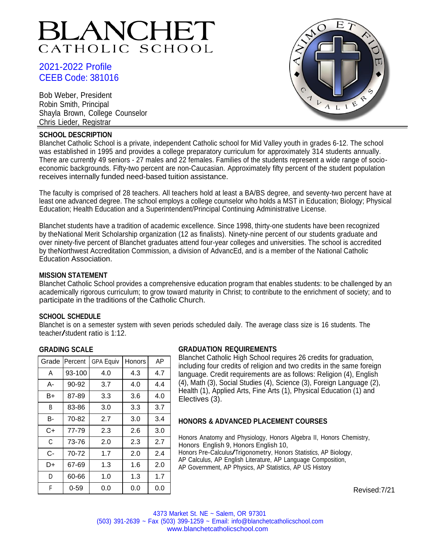# BLANCHET CATHOLIC SCHOOL

# 2021-2022 Profile CEEB Code: 381016

Bob Weber, President Robin Smith, Principal Shayla Brown, College Counselor Chris Lieder, Registrar

## **SCHOOL DESCRIPTION**



Blanchet Catholic School is a private, independent Catholic school for Mid Valley youth in grades 6-12. The school was established in 1995 and provides a college preparatory curriculum for approximately 314 students annually. There are currently 49 seniors - 27 males and 22 females. Families of the students represent a wide range of socioeconomic backgrounds. Fifty-two percent are non-Caucasian. Approximately fifty percent of the student population receives internally funded need-based tuition assistance.

The faculty is comprised of 28 teachers. All teachers hold at least a BA/BS degree, and seventy-two percent have at least one advanced degree. The school employs a college counselor who holds a MST in Education; Biology; Physical Education; Health Education and a Superintendent/Principal Continuing Administrative License.

Blanchet students have a tradition of academic excellence. Since 1998, thirty-one students have been recognized by theNational Merit Scholarship organization (12 as finalists). Ninety-nine percent of our students graduate and over ninety-five percent of Blanchet graduates attend four-year colleges and universities. The school is accredited by theNorthwest Accreditation Commission, a division of AdvancEd, and is a member of the National Catholic Education Association.

## **MISSION STATEMENT**

Blanchet Catholic School provides a comprehensive education program that enables students: to be challenged by an academically rigorous curriculum; to grow toward maturity in Christ; to contribute to the enrichment of society; and to participate in the traditions of the Catholic Church.

## **SCHOOL SCHEDULE**

Blanchet is on a semester system with seven periods scheduled daily. The average class size is 16 students. The teacher/student ratio is 1:12.

## **GRADING SCALE**

| Grade | Percent  | <b>GPA Equiv</b> | Honors | AP  |
|-------|----------|------------------|--------|-----|
| A     | 93-100   | 4.0              | 4.3    | 4.7 |
| А-    | 90-92    | 3.7              | 4.0    | 4.4 |
| B+    | 87-89    | 3.3              | 3.6    | 4.0 |
| B     | 83-86    | 3.0              | 3.3    | 3.7 |
| в-    | 70-82    | 2.7              | 3.0    | 3.4 |
| C+    | 77-79    | 2.3              | 2.6    | 3.0 |
| C     | 73-76    | 2.0              | 2.3    | 2.7 |
| C-    | 70-72    | 1.7              | 2.0    | 2.4 |
| D+    | 67-69    | 1.3              | 1.6    | 2.0 |
| D     | 60-66    | 1.0              | 1.3    | 1.7 |
| F     | $0 - 59$ | 0.0              | 0.0    | 0.0 |

# **GRADUATION REQUIREMENTS**

Blanchet Catholic High School requires 26 credits for graduation, including four credits of religion and two credits in the same foreign language. Credit requirements are as follows: Religion (4), English (4), Math (3), Social Studies (4), Science (3), Foreign Language (2), Health (1), Applied Arts, Fine Arts (1), Physical Education (1) and Electives (3).

# **HONORS & ADVANCED PLACEMENT COURSES**

Honors Anatomy and Physiology, Honors Algebra II, Honors Chemistry, Honors English 9, Honors English 10, Honors Pre-Calculus/Trigonometry, Honors Statistics, AP Biology, AP Calculus, AP English Literature, AP Language Composition, AP Government, AP Physics, AP Statistics, AP US History

Revised:7/21